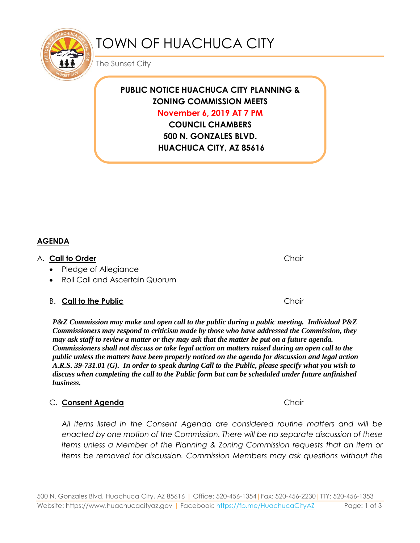

# TOWN OF HUACHUCA CITY

The Sunset City

**PUBLIC NOTICE HUACHUCA CITY PLANNING & ZONING COMMISSION MEETS November 6, 2019 AT 7 PM**

> **COUNCIL CHAMBERS 500 N. GONZALES BLVD. HUACHUCA CITY, AZ 85616**

#### **AGENDA**

#### A. **Call to Order** Chair

- Pledge of Allegiance
- Roll Call and Ascertain Quorum

#### B. **Call to the Public Chair** Chair

*P&Z Commission may make and open call to the public during a public meeting. Individual P&Z Commissioners may respond to criticism made by those who have addressed the Commission, they may ask staff to review a matter or they may ask that the matter be put on a future agenda. Commissioners shall not discuss or take legal action on matters raised during an open call to the public unless the matters have been properly noticed on the agenda for discussion and legal action A.R.S. 39-731.01 (G). In order to speak during Call to the Public, please specify what you wish to discuss when completing the call to the Public form but can be scheduled under future unfinished business.*

#### C. **Consent Agenda** Chair

*All items listed in the Consent Agenda are considered routine matters and will be enacted by one motion of the Commission. There will be no separate discussion of these items unless a Member of the Planning & Zoning Commission requests that an item or items be removed for discussion. Commission Members may ask questions without the* 

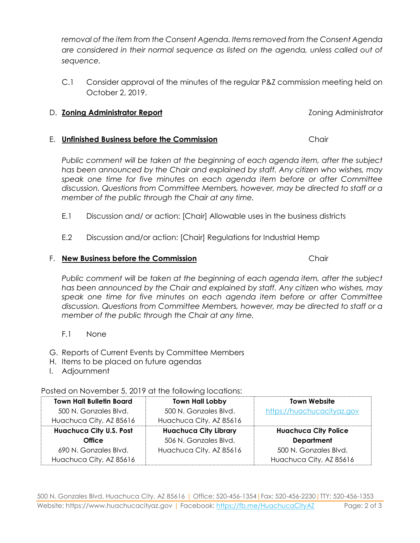500 N. Gonzales Blvd, Huachuca City, AZ 85616 | Office: 520-456-1354|Fax: 520-456-2230|TTY: 520-456-1353 Website: https://www.huachucacityaz.gov | Facebook:<https://fb.me/HuachucaCityAZ> Page: 2 of 3

- E.2 Discussion and/or action: [Chair] Regulations for Industrial Hemp
- F. **New Business before the Commission** Chair

*Public comment will be taken at the beginning of each agenda item, after the subject has been announced by the Chair and explained by staff. Any citizen who wishes, may speak one time for five minutes on each agenda item before or after Committee discussion. Questions from Committee Members, however, may be directed to staff or a member of the public through the Chair at any time.*

- F.1 None
- G. Reports of Current Events by Committee Members
- H. Items to be placed on future agendas
- I. Adjournment

**Town Hall Bulletin Board**

 Posted on November 5, 2019 at the following locations: - 11

|                                | IVIII HUILLUUVI              | .                           |
|--------------------------------|------------------------------|-----------------------------|
| 500 N. Gonzales Blvd.          | 500 N. Gonzales Blvd.        | https://huachucacityaz.gov  |
| Huachuca City, AZ 85616        | Huachuca City, AZ 85616      |                             |
| <b>Huachuca City U.S. Post</b> | <b>Huachuca City Library</b> | <b>Huachuca City Police</b> |
| <b>Office</b>                  | 506 N. Gonzales Blvd.        | <b>Department</b>           |
| 690 N. Gonzales Blvd.          | Huachuca City, AZ 85616      | 500 N. Gonzales Blvd.       |
| Huachuca City, AZ 85616        |                              | Huachuca City, AZ 85616     |
|                                |                              |                             |

**Town Hall Lobby**

*removal of the item from the Consent Agenda. Items removed from the Consent Agenda are considered in their normal sequence as listed on the agenda, unless called out of sequence.*

C.1 Consider approval of the minutes of the regular P&Z commission meeting held on October 2, 2019.

### D. **Zoning Administrator Report Coning Administrator Report Zoning Administrator**

### E. **Unfinished Business before the Commission** Chair

*Public comment will be taken at the beginning of each agenda item, after the subject has been announced by the Chair and explained by staff. Any citizen who wishes, may speak one time for five minutes on each agenda item before or after Committee discussion. Questions from Committee Members, however, may be directed to staff or a member of the public through the Chair at any time.*

- E.1 Discussion and/ or action: [Chair] Allowable uses in the business districts
	-

**Town Website**